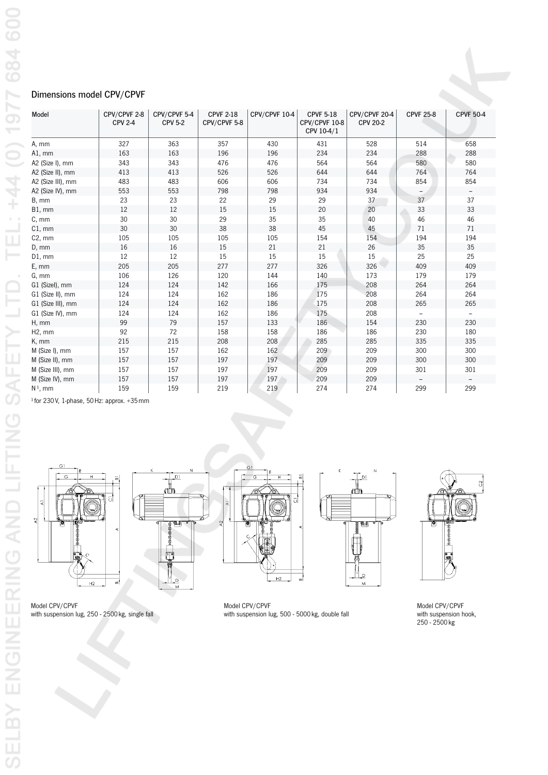## Dimensions model CPV/CPVF

| Model             | CPV/CPVF 2-8<br><b>CPV 2-4</b> | CPV/CPVF 5-4<br><b>CPV 5-2</b> | <b>CPVF 2-18</b><br>CPV/CPVF 5-8 | CPV/CPVF 10-4 | <b>CPVF 5-18</b><br>CPV/CPVF 10-8<br>CPV 10-4/1 | CPV/CPVF 20-4<br><b>CPV 20-2</b> | <b>CPVF 25-8</b> | <b>CPVF 50-4</b> |
|-------------------|--------------------------------|--------------------------------|----------------------------------|---------------|-------------------------------------------------|----------------------------------|------------------|------------------|
| A, mm             | 327                            | 363                            | 357                              | 430           | 431                                             | 528                              | 514              | 658              |
| $AI$ , mm         | 163                            | 163                            | 196                              | 196           | 234                                             | 234                              | 288              | 288              |
| A2 (Size I), mm   | 343                            | 343                            | 476                              | 476           | 564                                             | 564                              | 580              | 580              |
| A2 (Size II), mm  | 413                            | 413                            | 526                              | 526           | 644                                             | 644                              | 764              | 764              |
| A2 (Size III), mm | 483                            | 483                            | 606                              | 606           | 734                                             | 734                              | 854              | 854              |
| A2 (Size IV), mm  | 553                            | 553                            | 798                              | 798           | 934                                             | 934                              |                  |                  |
| B, mm             | 23                             | 23                             | 22                               | 29            | 29                                              | 37                               | 37               | 37               |
| $B1$ , mm         | 12                             | 12                             | 15                               | 15            | 20                                              | 20                               | 33               | 33               |
| C, mm             | 30                             | 30                             | 29                               | 35            | 35                                              | 40                               | 46               | 46               |
| $C1$ , mm         | 30                             | 30                             | 38                               | 38            | 45                                              | 45                               | 71               | 71               |
| $C2$ , mm         | 105                            | 105                            | 105                              | 105           | 154                                             | 154                              | 194              | 194              |
| D, mm             | 16                             | 16                             | 15                               | 21            | 21                                              | 26                               | 35               | 35               |
| $D1$ , mm         | 12                             | 12                             | 15                               | 15            | 15                                              | 15                               | 25               | 25               |
| E, mm             | 205                            | 205                            | 277                              | 277           | 326                                             | 326                              | 409              | 409              |
| G, mm             | 106                            | 126                            | 120                              | 144           | 140                                             | 173                              | 179              | 179              |
| G1 (Sizel), mm    | 124                            | 124                            | 142                              | 166           | 175                                             | 208                              | 264              | 264              |
| G1 (Size II), mm  | 124                            | 124                            | 162                              | 186           | 175                                             | 208                              | 264              | 264              |
| G1 (Size III), mm | 124                            | 124                            | 162                              | 186           | 175                                             | 208                              | 265              | 265              |
| G1 (Size IV), mm  | 124                            | 124                            | 162                              | 186           | 175                                             | 208                              |                  |                  |
| H, mm             | 99                             | 79                             | 157                              | 133           | 186                                             | 154                              | 230              | 230              |
| H2, mm            | 92                             | 72                             | 158                              | 158           | 186                                             | 186                              | 230              | 180              |
| K, mm             | 215                            | 215                            | 208                              | 208           | 285                                             | 285                              | 335              | 335              |
| M (Size I), mm    | 157                            | 157                            | 162                              | 162           | 209                                             | 209                              | 300              | 300              |
| M (Size II), mm   | 157                            | 157                            | 197                              | 197           | 209                                             | 209                              | 300              | 300              |
| M (Size III), mm  | 157                            | 157                            | 197                              | 197           | 209                                             | 209                              | 301              | 301              |
| M (Size IV), mm   | 157                            | 157                            | 197                              | 197           | 209                                             | 209                              |                  |                  |
| $N1$ , mm         | 159                            | 159                            | 219                              | 219           | 274                                             | 274                              | 299              | 299              |

 $1$  for 230 V, 1-phase, 50 Hz: approx.  $+35$  mm









Model CPV/CPVF with suspension lug, 250 - 2500 kg, single fall

Model CPV/CPVF with suspension lug, 500 - 5000 kg, double fall

 $\overline{a}$ 

 $\overline{\circ}$ 

Model CPV/CPVF with suspension hook, 250 - 2500 kg